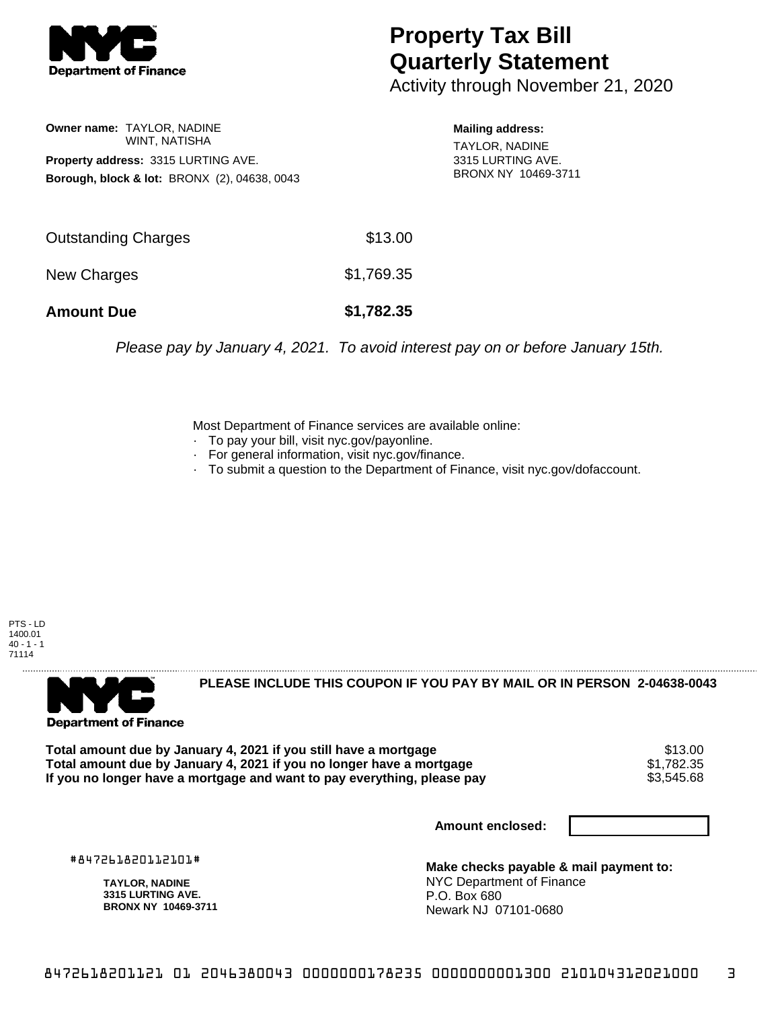

## **Property Tax Bill Quarterly Statement**

Activity through November 21, 2020

## **Owner name:** TAYLOR, NADINE WINT, NATISHA **Property address:** 3315 LURTING AVE. **Borough, block & lot:** BRONX (2), 04638, 0043

**Mailing address:**

TAYLOR, NADINE 3315 LURTING AVE. BRONX NY 10469-3711

Please pay by January 4, 2021. To avoid interest pay on or before January 15th.

Most Department of Finance services are available online:

- · To pay your bill, visit nyc.gov/payonline.
- For general information, visit nyc.gov/finance.
- · To submit a question to the Department of Finance, visit nyc.gov/dofaccount.

PTS - LD 1400.01  $40 - 1 - 1$ 71114



**PLEASE INCLUDE THIS COUPON IF YOU PAY BY MAIL OR IN PERSON 2-04638-0043** 

Total amount due by January 4, 2021 if you still have a mortgage **\$13.00** \$13.00<br>Total amount due by January 4, 2021 if you no longer have a mortgage **\$1.782.35 Total amount due by January 4, 2021 if you no longer have a mortgage**  $$1,782.35$ **<br>If you no longer have a mortgage and want to pay everything, please pay <b>show that have use** \$3,545.68 If you no longer have a mortgage and want to pay everything, please pay

**Amount enclosed:**

#847261820112101#

**TAYLOR, NADINE 3315 LURTING AVE. BRONX NY 10469-3711**

**Make checks payable & mail payment to:** NYC Department of Finance P.O. Box 680 Newark NJ 07101-0680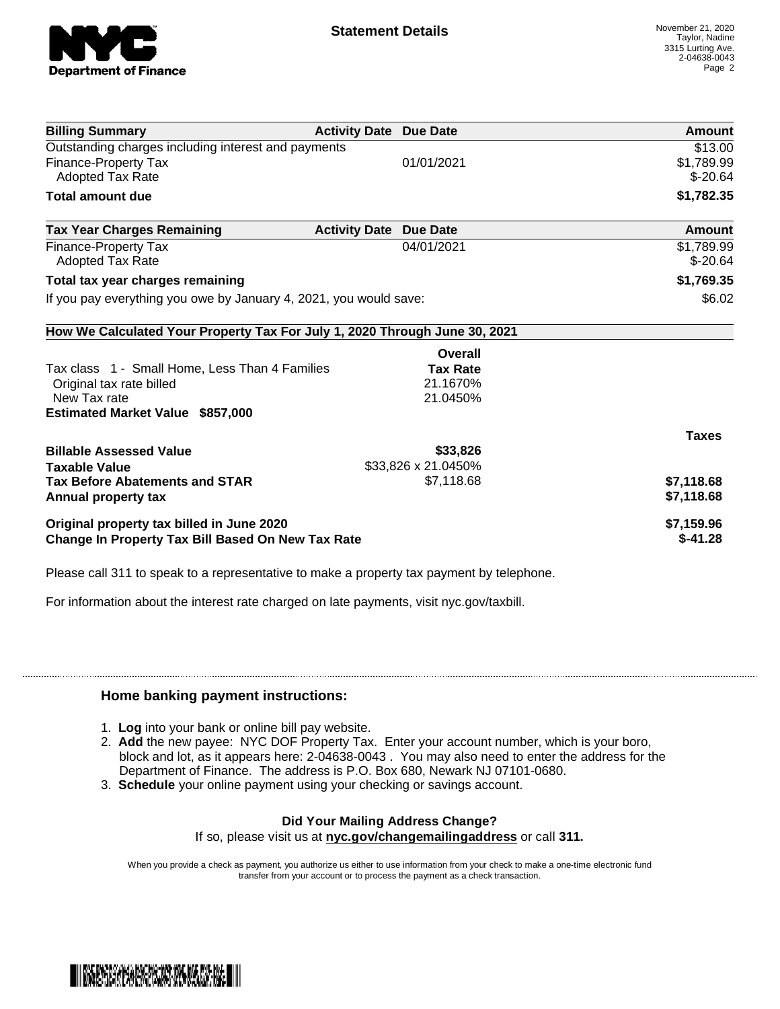

| <b>Billing Summary</b>                                                     | <b>Activity Date Due Date</b> |                     | <b>Amount</b> |
|----------------------------------------------------------------------------|-------------------------------|---------------------|---------------|
| Outstanding charges including interest and payments                        |                               |                     | \$13.00       |
| Finance-Property Tax                                                       |                               | 01/01/2021          | \$1,789.99    |
| Adopted Tax Rate                                                           |                               |                     | $$-20.64$     |
| Total amount due                                                           |                               |                     | \$1,782.35    |
| <b>Tax Year Charges Remaining</b>                                          | <b>Activity Date</b>          | <b>Due Date</b>     | Amount        |
| Finance-Property Tax                                                       |                               | 04/01/2021          | \$1,789.99    |
| Adopted Tax Rate                                                           |                               |                     | $$ -20.64$    |
| Total tax year charges remaining                                           |                               |                     | \$1,769.35    |
| If you pay everything you owe by January 4, 2021, you would save:          |                               |                     | \$6.02        |
| How We Calculated Your Property Tax For July 1, 2020 Through June 30, 2021 |                               |                     |               |
|                                                                            |                               | Overall             |               |
| Tax class 1 - Small Home, Less Than 4 Families                             |                               | <b>Tax Rate</b>     |               |
| Original tax rate billed                                                   |                               | 21.1670%            |               |
| New Tax rate                                                               |                               | 21.0450%            |               |
| <b>Estimated Market Value \$857,000</b>                                    |                               |                     |               |
|                                                                            |                               |                     | <b>Taxes</b>  |
| <b>Billable Assessed Value</b>                                             |                               | \$33,826            |               |
| <b>Taxable Value</b>                                                       |                               | \$33,826 x 21.0450% |               |
| <b>Tax Before Abatements and STAR</b>                                      |                               | \$7,118.68          | \$7,118.68    |
| Annual property tax                                                        |                               |                     | \$7,118.68    |
| Original property tax billed in June 2020                                  |                               |                     | \$7,159.96    |
| <b>Change In Property Tax Bill Based On New Tax Rate</b>                   |                               |                     | $$-41.28$     |

Please call 311 to speak to a representative to make a property tax payment by telephone.

For information about the interest rate charged on late payments, visit nyc.gov/taxbill.

## **Home banking payment instructions:**

- 1. **Log** into your bank or online bill pay website.
- 2. **Add** the new payee: NYC DOF Property Tax. Enter your account number, which is your boro, block and lot, as it appears here: 2-04638-0043 . You may also need to enter the address for the Department of Finance. The address is P.O. Box 680, Newark NJ 07101-0680.
- 3. **Schedule** your online payment using your checking or savings account.

## **Did Your Mailing Address Change?**

If so, please visit us at **nyc.gov/changemailingaddress** or call **311.**

When you provide a check as payment, you authorize us either to use information from your check to make a one-time electronic fund transfer from your account or to process the payment as a check transaction.